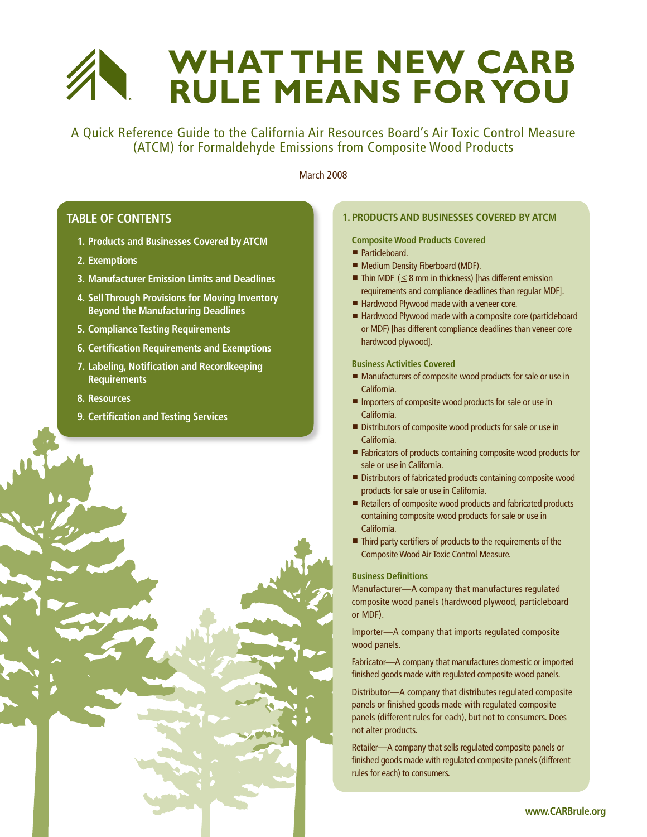# **What the New CARB Rule Means for You**

A Quick Reference Guide to the California Air Resources Board's Air Toxic Control Measure (ATCM) for Formaldehyde Emissions from Composite Wood Products

March 2008

# **Table of contents**

- **1. Products and Businesses Covered by ATCM**
- **2. Exemptions**
- **3. Manufacturer Emission Limits and Deadlines**
- **4. Sell Through Provisions for Moving Inventory Beyond the Manufacturing Deadlines**
- **5. Compliance Testing Requirements**
- **6. Certification Requirements and Exemptions**
- **7. Labeling, Notification and Recordkeeping Requirements**
- **8. Resources**
- **9. Certification and Testing Services**



## **1. Products and Businesses Covered by ATCM**

**Composite Wood Products Covered**

- Particleboard.
- Medium Density Fiberboard (MDF).
- $\blacksquare$  Thin MDF ( $\leq$  8 mm in thickness) [has different emission requirements and compliance deadlines than regular MDF].
- Hardwood Plywood made with a veneer core.
- Hardwood Plywood made with a composite core (particleboard or MDF) [has different compliance deadlines than veneer core hardwood plywood].

**Business Activities Covered**

- $\blacksquare$  Manufacturers of composite wood products for sale or use in California.
- **n** Importers of composite wood products for sale or use in California.
- Distributors of composite wood products for sale or use in California.
- Fabricators of products containing composite wood products for sale or use in California.
- Distributors of fabricated products containing composite wood products for sale or use in California.
- Retailers of composite wood products and fabricated products containing composite wood products for sale or use in California.
- Third party certifiers of products to the requirements of the Composite Wood Air Toxic Control Measure.

## **Business Definitions**

Manufacturer—A company that manufactures regulated composite wood panels (hardwood plywood, particleboard or MDF).

Importer—A company that imports regulated composite wood panels.

Fabricator—A company that manufactures domestic or imported finished goods made with regulated composite wood panels.

Distributor—A company that distributes regulated composite panels or finished goods made with regulated composite panels (different rules for each), but not to consumers. Does not alter products.

Retailer—A company that sells regulated composite panels or finished goods made with regulated composite panels (different rules for each) to consumers.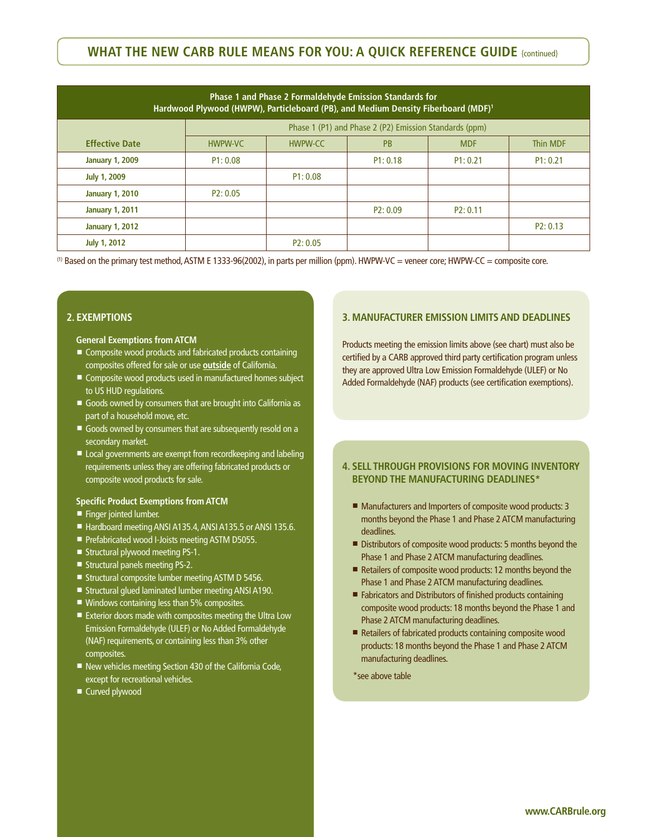# **WHAT THE NEW CARB RULE MEANS FOR YOU: A QUICK REFERENCE GUIDE {continued}**

| Phase 1 and Phase 2 Formaldehyde Emission Standards for<br>Hardwood Plywood (HWPW), Particleboard (PB), and Medium Density Fiberboard (MDF) <sup>1</sup> |                                                        |          |           |            |                 |
|----------------------------------------------------------------------------------------------------------------------------------------------------------|--------------------------------------------------------|----------|-----------|------------|-----------------|
|                                                                                                                                                          | Phase 1 (P1) and Phase 2 (P2) Emission Standards (ppm) |          |           |            |                 |
| <b>Effective Date</b>                                                                                                                                    | <b>HWPW-VC</b>                                         | HWPW-CC  | <b>PB</b> | <b>MDF</b> | <b>Thin MDF</b> |
| <b>January 1, 2009</b>                                                                                                                                   | P1: 0.08                                               |          | P1: 0.18  | P1: 0.21   | P1: 0.21        |
| <b>July 1, 2009</b>                                                                                                                                      |                                                        | P1: 0.08 |           |            |                 |
| <b>January 1, 2010</b>                                                                                                                                   | P2: 0.05                                               |          |           |            |                 |
| <b>January 1, 2011</b>                                                                                                                                   |                                                        |          | P2: 0.09  | P2: 0.11   |                 |
| <b>January 1, 2012</b>                                                                                                                                   |                                                        |          |           |            | P2: 0.13        |
| <b>July 1, 2012</b>                                                                                                                                      |                                                        | P2: 0.05 |           |            |                 |

(1) Based on the primary test method, ASTM E 1333-96(2002), in parts per million (ppm). HWPW-VC = veneer core; HWPW-CC = composite core.

## **2. Exemptions**

#### **General Exemptions from ATCM**

- Composite wood products and fabricated products containing composites offered for sale or use **outside** of California.
- Composite wood products used in manufactured homes subject to US HUD regulations.
- Goods owned by consumers that are brought into California as part of a household move, etc.
- Goods owned by consumers that are subsequently resold on a secondary market.
- Local governments are exempt from recordkeeping and labeling requirements unless they are offering fabricated products or composite wood products for sale.

#### **Specific Product Exemptions from ATCM**

- Finger jointed lumber.
- Hardboard meeting ANSI A135.4, ANSI A135.5 or ANSI 135.6.
- Prefabricated wood I-Joists meeting ASTM D5055.
- Structural plywood meeting PS-1.
- $\blacksquare$  Structural panels meeting PS-2.
- Structural composite lumber meeting ASTM D 5456.
- Structural glued laminated lumber meeting ANSI A190.
- $\blacksquare$  Windows containing less than 5% composites.
- $\blacksquare$  Exterior doors made with composites meeting the Ultra Low Emission Formaldehyde (ULEF) or No Added Formaldehyde (NAF) requirements, or containing less than 3% other composites.
- $\blacksquare$  New vehicles meeting Section 430 of the California Code, except for recreational vehicles.
- Curved plywood

## **3. Manufacturer Emission Limits and Deadlines**

Products meeting the emission limits above (see chart) must also be certified by a CARB approved third party certification program unless they are approved Ultra Low Emission Formaldehyde (ULEF) or No Added Formaldehyde (NAF) products (see certification exemptions).

## **4. Sell Through Provisions for moving Inventory Beyond the Manufacturing Deadlines\***

- Manufacturers and Importers of composite wood products: 3 months beyond the Phase 1 and Phase 2 ATCM manufacturing deadlines.
- Distributors of composite wood products: 5 months beyond the Phase 1 and Phase 2 ATCM manufacturing deadlines.
- Retailers of composite wood products: 12 months beyond the Phase 1 and Phase 2 ATCM manufacturing deadlines.
- Fabricators and Distributors of finished products containing composite wood products: 18 months beyond the Phase 1 and Phase 2 ATCM manufacturing deadlines.
- $\blacksquare$  Retailers of fabricated products containing composite wood products: 18 months beyond the Phase 1 and Phase 2 ATCM manufacturing deadlines.

\*see above table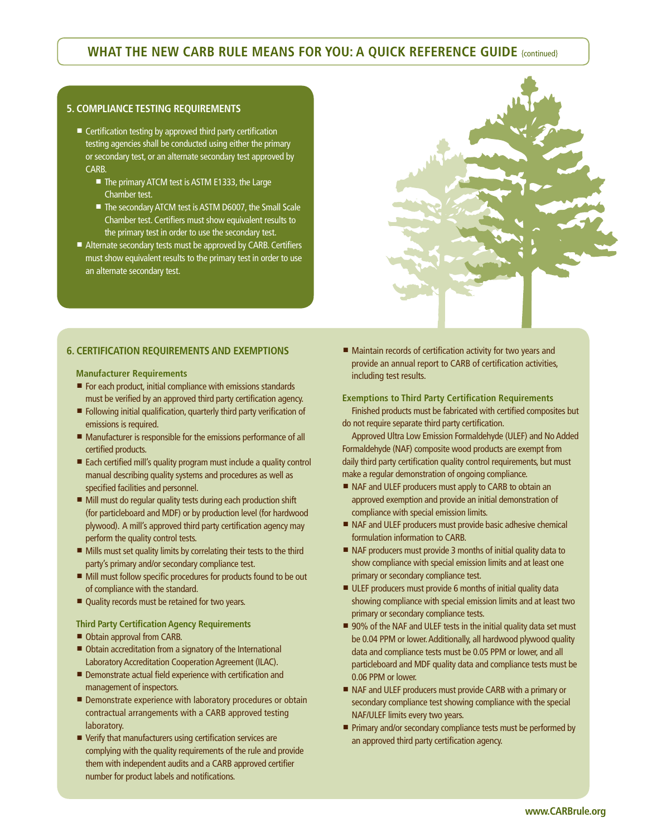# **WHAT THE NEW CARB RULE MEANS FOR YOU: A QUICK REFERENCE GUIDE {continued}**

## **5. Compliance Testing Requirements**

- $\blacksquare$  Certification testing by approved third party certification testing agencies shall be conducted using either the primary or secondary test, or an alternate secondary test approved by CARB.
	- The primary ATCM test is ASTM E1333, the Large Chamber test.
	- The secondary ATCM test is ASTM D6007, the Small Scale Chamber test. Certifiers must show equivalent results to the primary test in order to use the secondary test.
- Alternate secondary tests must be approved by CARB. Certifiers must show equivalent results to the primary test in order to use an alternate secondary test.



## **6. Certification Requirements and Exemptions**

**Manufacturer Requirements**

- For each product, initial compliance with emissions standards must be verified by an approved third party certification agency.
- Following initial qualification, quarterly third party verification of emissions is required.
- Manufacturer is responsible for the emissions performance of all certified products.
- Each certified mill's quality program must include a quality control manual describing quality systems and procedures as well as specified facilities and personnel.
- Mill must do regular quality tests during each production shift (for particleboard and MDF) or by production level (for hardwood plywood). A mill's approved third party certification agency may perform the quality control tests.
- $\blacksquare$  Mills must set quality limits by correlating their tests to the third party's primary and/or secondary compliance test.
- Mill must follow specific procedures for products found to be out of compliance with the standard.
- Quality records must be retained for two years.

### **Third Party Certification Agency Requirements**

- Obtain approval from CARB.
- Obtain accreditation from a signatory of the International Laboratory Accreditation Cooperation Agreement (ILAC).
- Demonstrate actual field experience with certification and management of inspectors.
- Demonstrate experience with laboratory procedures or obtain contractual arrangements with a CARB approved testing laboratory.
- $\blacksquare$  Verify that manufacturers using certification services are complying with the quality requirements of the rule and provide them with independent audits and a CARB approved certifier number for product labels and notifications.

■ Maintain records of certification activity for two years and provide an annual report to CARB of certification activities, including test results.

**Exemptions to Third Party Certification Requirements** Finished products must be fabricated with certified composites but do not require separate third party certification.

Approved Ultra Low Emission Formaldehyde (ULEF) and No Added Formaldehyde (NAF) composite wood products are exempt from daily third party certification quality control requirements, but must make a regular demonstration of ongoing compliance.

- NAF and ULEF producers must apply to CARB to obtain an approved exemption and provide an initial demonstration of compliance with special emission limits.
- NAF and ULEF producers must provide basic adhesive chemical formulation information to CARB.
- NAF producers must provide 3 months of initial quality data to show compliance with special emission limits and at least one primary or secondary compliance test.
- ULEF producers must provide 6 months of initial quality data showing compliance with special emission limits and at least two primary or secondary compliance tests.
- 90% of the NAF and ULEF tests in the initial quality data set must be 0.04 PPM or lower. Additionally, all hardwood plywood quality data and compliance tests must be 0.05 PPM or lower, and all particleboard and MDF quality data and compliance tests must be 0.06 PPM or lower.
- NAF and ULEF producers must provide CARB with a primary or secondary compliance test showing compliance with the special NAF/ULEF limits every two years.
- Primary and/or secondary compliance tests must be performed by an approved third party certification agency.